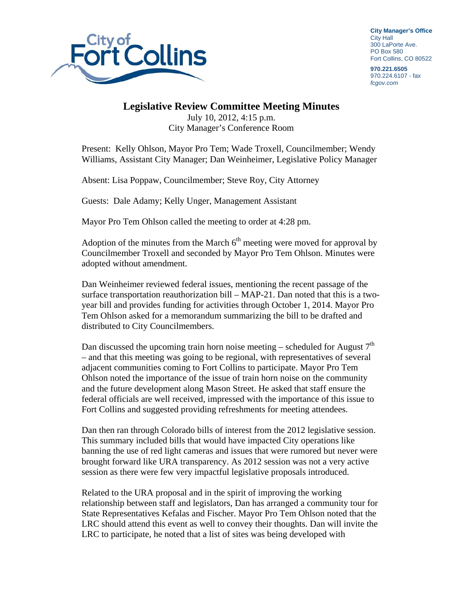

**City Manager's Office** City Hall 300 LaPorte Ave. PO Box 580 Fort Collins, CO 80522

**970.221.6505**  970.224.6107 - fax *fcgov.com* 

## **Legislative Review Committee Meeting Minutes**

July 10, 2012, 4:15 p.m. City Manager's Conference Room

Present: Kelly Ohlson, Mayor Pro Tem; Wade Troxell, Councilmember; Wendy Williams, Assistant City Manager; Dan Weinheimer, Legislative Policy Manager

Absent: Lisa Poppaw, Councilmember; Steve Roy, City Attorney

Guests: Dale Adamy; Kelly Unger, Management Assistant

Mayor Pro Tem Ohlson called the meeting to order at 4:28 pm.

Adoption of the minutes from the March  $6<sup>th</sup>$  meeting were moved for approval by Councilmember Troxell and seconded by Mayor Pro Tem Ohlson. Minutes were adopted without amendment.

Dan Weinheimer reviewed federal issues, mentioning the recent passage of the surface transportation reauthorization bill – MAP-21. Dan noted that this is a twoyear bill and provides funding for activities through October 1, 2014. Mayor Pro Tem Ohlson asked for a memorandum summarizing the bill to be drafted and distributed to City Councilmembers.

Dan discussed the upcoming train horn noise meeting – scheduled for August  $7<sup>th</sup>$ – and that this meeting was going to be regional, with representatives of several adjacent communities coming to Fort Collins to participate. Mayor Pro Tem Ohlson noted the importance of the issue of train horn noise on the community and the future development along Mason Street. He asked that staff ensure the federal officials are well received, impressed with the importance of this issue to Fort Collins and suggested providing refreshments for meeting attendees.

Dan then ran through Colorado bills of interest from the 2012 legislative session. This summary included bills that would have impacted City operations like banning the use of red light cameras and issues that were rumored but never were brought forward like URA transparency. As 2012 session was not a very active session as there were few very impactful legislative proposals introduced.

Related to the URA proposal and in the spirit of improving the working relationship between staff and legislators, Dan has arranged a community tour for State Representatives Kefalas and Fischer. Mayor Pro Tem Ohlson noted that the LRC should attend this event as well to convey their thoughts. Dan will invite the LRC to participate, he noted that a list of sites was being developed with